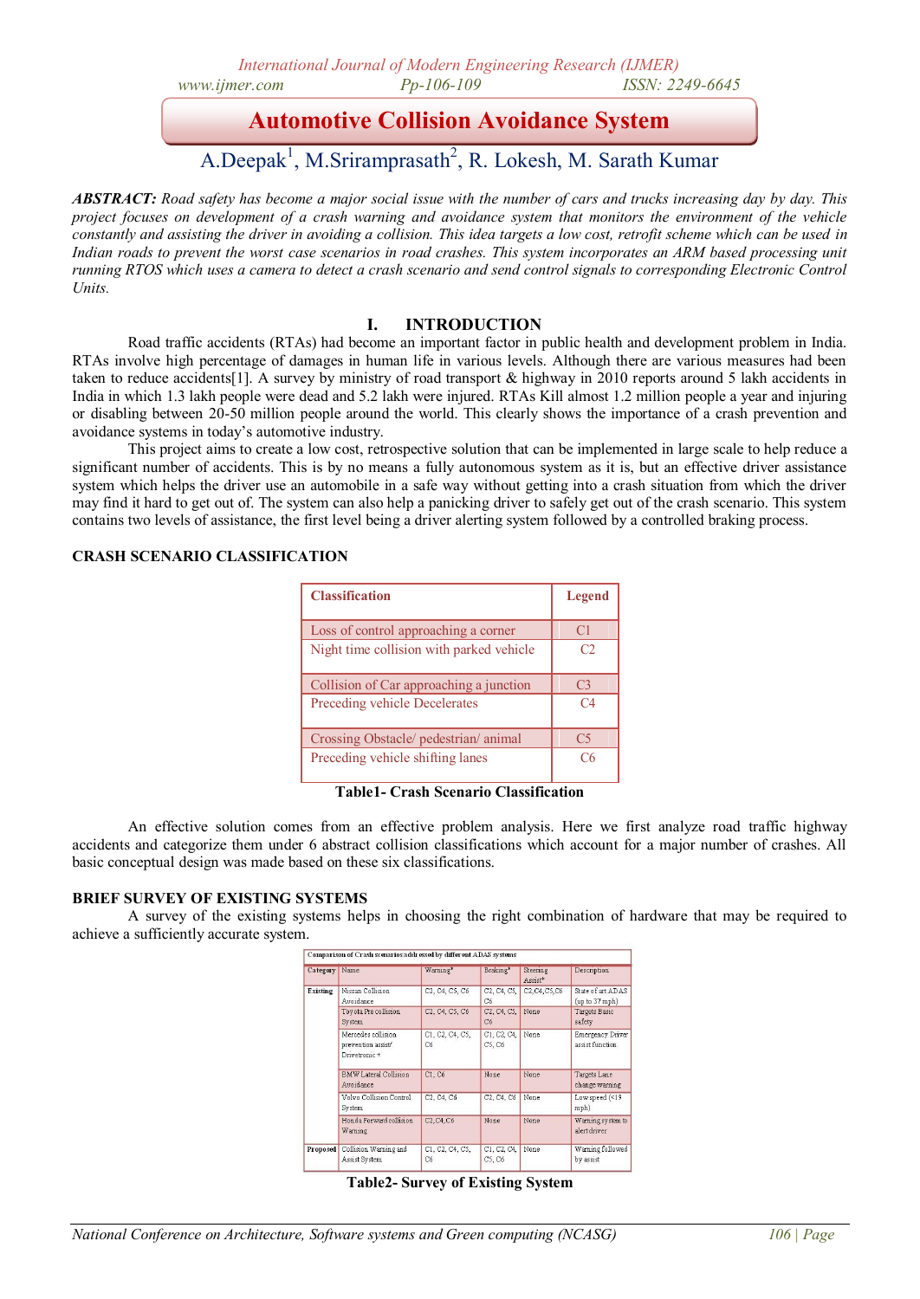# **Automotive Collision Avoidance System**

# A.Deepak<sup>1</sup>, M.Sriramprasath<sup>2</sup>, R. Lokesh, M. Sarath Kumar

*ABSTRACT: Road safety has become a major social issue with the number of cars and trucks increasing day by day. This project focuses on development of a crash warning and avoidance system that monitors the environment of the vehicle constantly and assisting the driver in avoiding a collision. This idea targets a low cost, retrofit scheme which can be used in Indian roads to prevent the worst case scenarios in road crashes. This system incorporates an ARM based processing unit running RTOS which uses a camera to detect a crash scenario and send control signals to corresponding Electronic Control Units.*

#### **I. INTRODUCTION**

Road traffic accidents (RTAs) had become an important factor in public health and development problem in India. RTAs involve high percentage of damages in human life in various levels. Although there are various measures had been taken to reduce accidents[1]. A survey by ministry of road transport & highway in 2010 reports around 5 lakh accidents in India in which 1.3 lakh people were dead and 5.2 lakh were injured. RTAs Kill almost 1.2 million people a year and injuring or disabling between 20-50 million people around the world. This clearly shows the importance of a crash prevention and avoidance systems in today's automotive industry.

This project aims to create a low cost, retrospective solution that can be implemented in large scale to help reduce a significant number of accidents. This is by no means a fully autonomous system as it is, but an effective driver assistance system which helps the driver use an automobile in a safe way without getting into a crash situation from which the driver may find it hard to get out of. The system can also help a panicking driver to safely get out of the crash scenario. This system contains two levels of assistance, the first level being a driver alerting system followed by a controlled braking process.

#### **CRASH SCENARIO CLASSIFICATION**

| <b>Classification</b>                    | Legend         |
|------------------------------------------|----------------|
| Loss of control approaching a corner     | C <sub>1</sub> |
| Night time collision with parked vehicle | C2             |
| Collision of Car approaching a junction  | C <sub>3</sub> |
| Preceding vehicle Decelerates            | C <sub>4</sub> |
| Crossing Obstacle/ pedestrian/ animal    | C5             |
| Preceding vehicle shifting lanes         | C6             |

**Table1- Crash Scenario Classification**

An effective solution comes from an effective problem analysis. Here we first analyze road traffic highway accidents and categorize them under 6 abstract collision classifications which account for a major number of crashes. All basic conceptual design was made based on these six classifications.

#### **BRIEF SURVEY OF EXISTING SYSTEMS**

A survey of the existing systems helps in choosing the right combination of hardware that may be required to achieve a sufficiently accurate system.

| Category | Name                                                       | Warning*                                                          | Braking*              | <b>Steering</b><br>Assist <sup>*</sup>                            | Description                                |
|----------|------------------------------------------------------------|-------------------------------------------------------------------|-----------------------|-------------------------------------------------------------------|--------------------------------------------|
| Existing | Nissan Collision<br>Avoidance                              | C2, C4, C5, C6                                                    | C2, C4, C5,<br>C6     | C <sub>2</sub> , C <sub>4</sub> , C <sub>5</sub> , C <sub>6</sub> | State of art ADAS<br>(up to 37 mph)        |
|          | Toyota Pre collision<br>System                             | C <sub>2</sub> , C <sub>4</sub> , C <sub>5</sub> , C <sub>6</sub> | C2, C4, C5,<br>C6     | None                                                              | Targets Basic<br>safety                    |
|          | Mercedes collision.<br>prevention assist/<br>Drivetronic + | C1, C2, C4, C5,<br>Сб                                             | C1, C2, C4,<br>C5, C6 | None                                                              | <b>Emergency Driver</b><br>assist function |
|          | <b>BMW Lateral Collision</b><br>Avoidance                  | C1. C6                                                            | None.                 | None                                                              | Targets Lane<br>change warning             |
|          | Volvo Collision Control<br>System                          | C2, C4, C6                                                        | C2, C4, C6            | None                                                              | Low speed (<19<br>mph)                     |
|          | Honda Forward collision<br>Warning                         | C2, C4, C6                                                        | None                  | None                                                              | Warning system to<br>alert driver          |
| Proposed | Collision Warning and<br>Assist System                     | C1, C2, C4, C5,<br>Cб                                             | C1, C2, C4,<br>C5, C6 | None                                                              | Warning followed<br>by assist              |

**Table2- Survey of Existing System**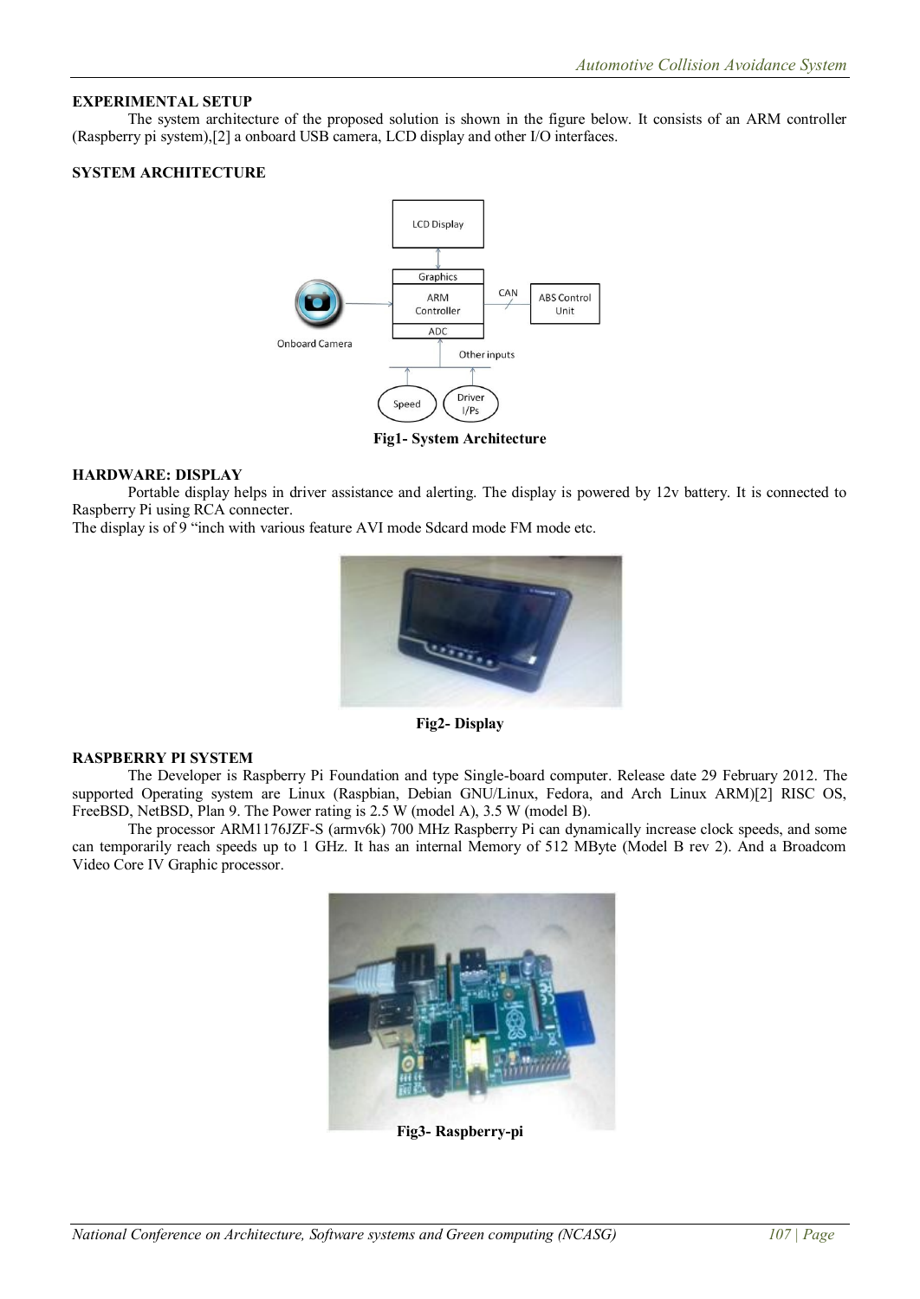# **EXPERIMENTAL SETUP**

The system architecture of the proposed solution is shown in the figure below. It consists of an ARM controller (Raspberry pi system),[2] a onboard USB camera, LCD display and other I/O interfaces.

### **SYSTEM ARCHITECTURE**



**Fig1- System Architecture**

#### **HARDWARE: DISPLAY**

Portable display helps in driver assistance and alerting. The display is powered by 12v battery. It is connected to Raspberry Pi using RCA connecter.

The display is of 9 "inch with various feature AVI mode Sdcard mode FM mode etc.



**Fig2- Display**

#### **RASPBERRY PI SYSTEM**

The Developer is Raspberry Pi Foundation and type Single-board computer. Release date 29 February 2012. The supported Operating system are Linux (Raspbian, Debian GNU/Linux, Fedora, and Arch Linux ARM)[2] RISC OS, FreeBSD, NetBSD, Plan 9. The Power rating is 2.5 W (model A), 3.5 W (model B).

The processor ARM1176JZF-S (armv6k) 700 MHz Raspberry Pi can dynamically increase clock speeds, and some can temporarily reach speeds up to 1 GHz. It has an internal Memory of 512 MByte (Model B rev 2). And a Broadcom Video Core IV Graphic processor.



**Fig3- Raspberry-pi**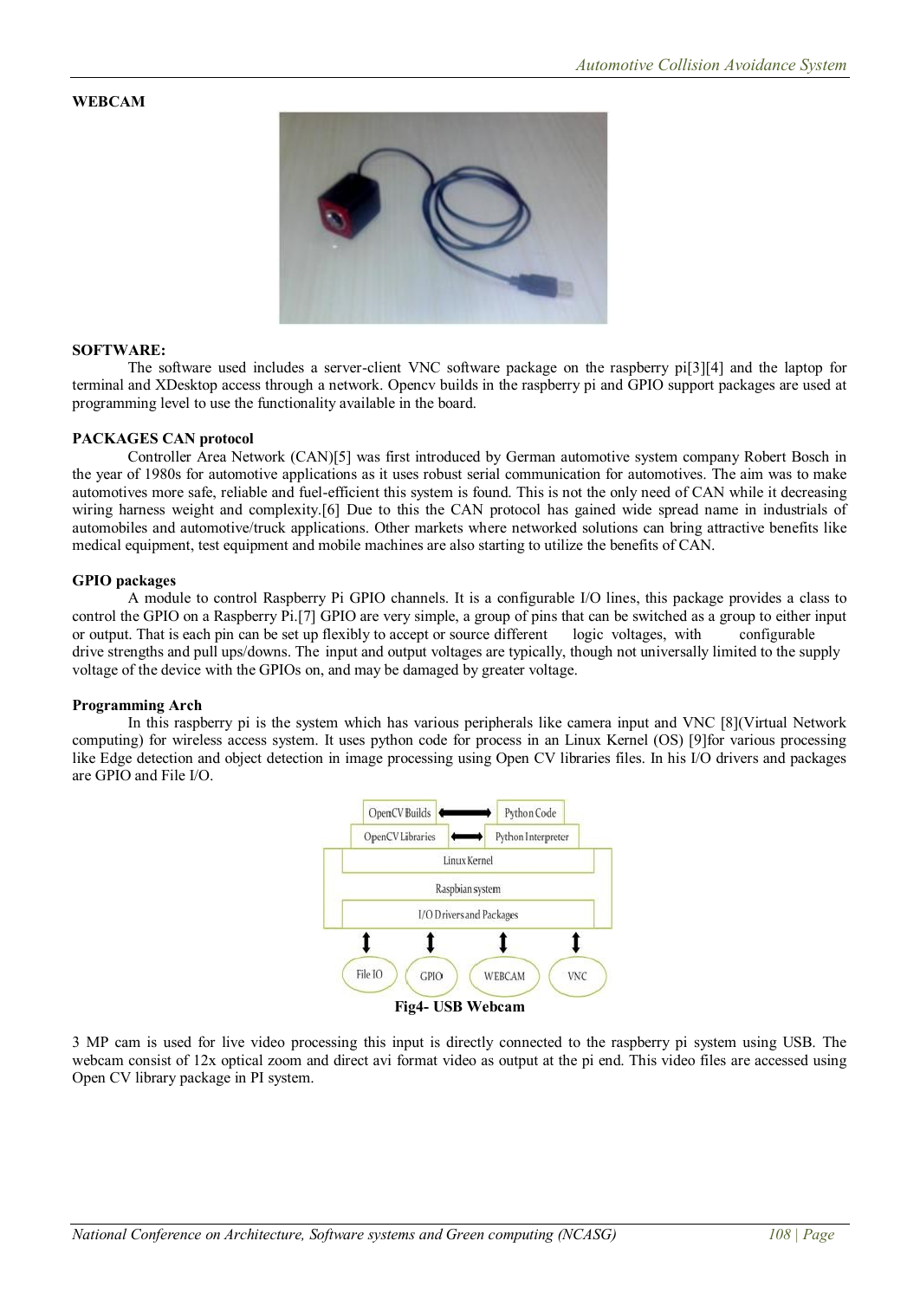# **WEBCAM**



#### **SOFTWARE:**

The software used includes a server-client VNC software package on the raspberry pi[3][4] and the laptop for terminal and XDesktop access through a network. Opencv builds in the raspberry pi and GPIO support packages are used at programming level to use the functionality available in the board.

#### **PACKAGES CAN protocol**

Controller Area Network (CAN)[5] was first introduced by German automotive system company Robert Bosch in the year of 1980s for automotive applications as it uses robust serial communication for automotives. The aim was to make automotives more safe, reliable and fuel-efficient this system is found. This is not the only need of CAN while it decreasing wiring harness weight and complexity.[6] Due to this the CAN protocol has gained wide spread name in industrials of automobiles and automotive/truck applications. Other markets where networked solutions can bring attractive benefits like medical equipment, test equipment and mobile machines are also starting to utilize the benefits of CAN.

#### **GPIO packages**

A module to control Raspberry Pi GPIO channels. It is a configurable I/O lines, this package provides a class to control the GPIO on a Raspberry Pi.[7] GPIO are very simple, a group of pins that can be switched as a group to either input or output. That is each pin can be set up flexibly to accept or source different logic voltages, with configurable drive strengths and pull ups/downs. The input and output voltages are typically, though not universally limited to the supply voltage of the device with the GPIOs on, and may be damaged by greater voltage.

#### **Programming Arch**

In this raspberry pi is the system which has various peripherals like camera input and VNC [8](Virtual Network computing) for wireless access system. It uses python code for process in an Linux Kernel (OS) [9]for various processing like Edge detection and object detection in image processing using Open CV libraries files. In his I/O drivers and packages are GPIO and File I/O.



3 MP cam is used for live video processing this input is directly connected to the raspberry pi system using USB. The webcam consist of 12x optical zoom and direct avi format video as output at the pi end. This video files are accessed using Open CV library package in PI system.